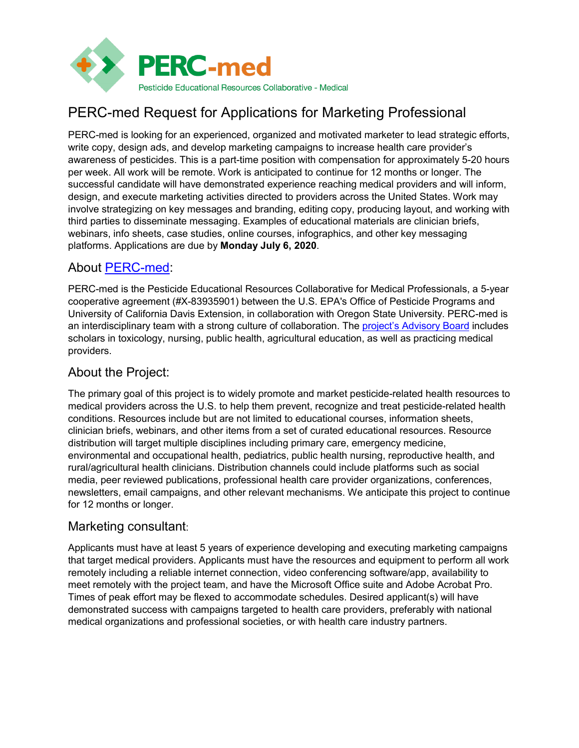

# PERC-med Request for Applications for Marketing Professional

PERC-med is looking for an experienced, organized and motivated marketer to lead strategic efforts, write copy, design ads, and develop marketing campaigns to increase health care provider's awareness of pesticides. This is a part-time position with compensation for approximately 5-20 hours per week. All work will be remote. Work is anticipated to continue for 12 months or longer. The successful candidate will have demonstrated experience reaching medical providers and will inform, design, and execute marketing activities directed to providers across the United States. Work may involve strategizing on key messages and branding, editing copy, producing layout, and working with third parties to disseminate messaging. Examples of educational materials are clinician briefs, webinars, info sheets, case studies, online courses, infographics, and other key messaging platforms. Applications are due by **Monday July 6, 2020**.

### About [PERC-med:](http://pesticideresources.org/med/index.html)

PERC-med is the Pesticide Educational Resources Collaborative for Medical Professionals, a 5-year cooperative agreement (#X-83935901) between the U.S. EPA's Office of Pesticide Programs and University of California Davis Extension, in collaboration with Oregon State University. PERC-med is an interdisciplinary team with a strong culture of collaboration. The [project's Advisory Board](http://pesticideresources.org/med/ab.html) includes scholars in toxicology, nursing, public health, agricultural education, as well as practicing medical providers.

## About the Project:

The primary goal of this project is to widely promote and market pesticide-related health resources to medical providers across the U.S. to help them prevent, recognize and treat pesticide-related health conditions. Resources include but are not limited to educational courses, information sheets, clinician briefs, webinars, and other items from a set of curated educational resources. Resource distribution will target multiple disciplines including primary care, emergency medicine, environmental and occupational health, pediatrics, public health nursing, reproductive health, and rural/agricultural health clinicians. Distribution channels could include platforms such as social media, peer reviewed publications, professional health care provider organizations, conferences, newsletters, email campaigns, and other relevant mechanisms. We anticipate this project to continue for 12 months or longer.

#### Marketing consultant:

Applicants must have at least 5 years of experience developing and executing marketing campaigns that target medical providers. Applicants must have the resources and equipment to perform all work remotely including a reliable internet connection, video conferencing software/app, availability to meet remotely with the project team, and have the Microsoft Office suite and Adobe Acrobat Pro. Times of peak effort may be flexed to accommodate schedules. Desired applicant(s) will have demonstrated success with campaigns targeted to health care providers, preferably with national medical organizations and professional societies, or with health care industry partners.